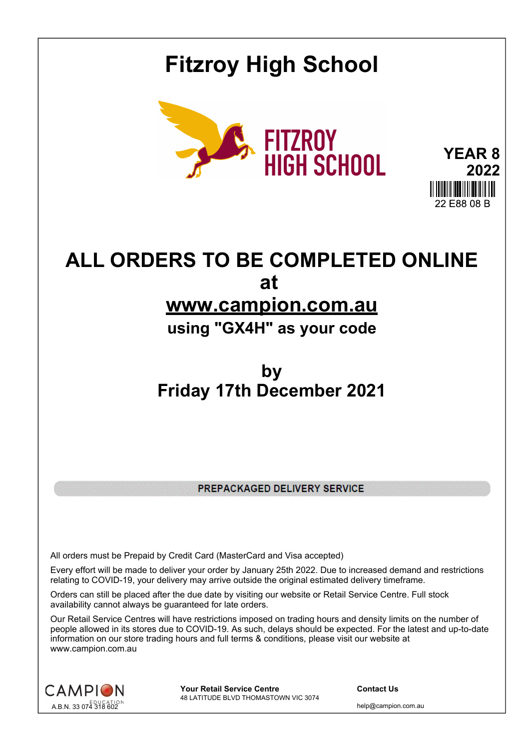## **Fitzroy High School**



**YEAR 8 2022** 22 E88 08 B

## **ALL ORDERS TO BE COMPLETED ONLINE at www.campion.com.au**

## **using "GX4H" as your code**

## **by Friday 17th December 2021**

PREPACKAGED DELIVERY SERVICE

All orders must be Prepaid by Credit Card (MasterCard and Visa accepted)

Every effort will be made to deliver your order by January 25th 2022. Due to increased demand and restrictions relating to COVID-19, your delivery may arrive outside the original estimated delivery timeframe.

Orders can still be placed after the due date by visiting our website or Retail Service Centre. Full stock availability cannot always be guaranteed for late orders.

Our Retail Service Centres will have restrictions imposed on trading hours and density limits on the number of people allowed in its stores due to COVID-19. As such, delays should be expected. For the latest and up-to-date information on our store trading hours and full terms & conditions, please visit our website at www.campion.com.au



**Your Retail Service Centre Contact Us** 48 LATITUDE BLVD THOMASTOWN VIC 3074

help@campion.com.au